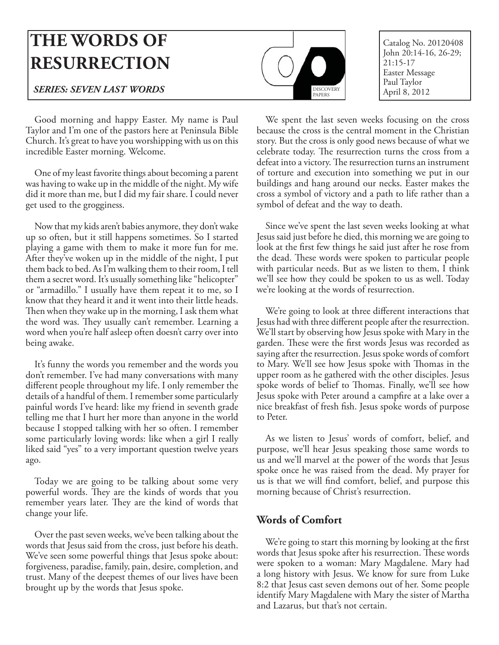# **THE WORDS OF RESURRECTION**

### **SERIES: SEVEN LAST WORDS** BEST PAPER SERIES: SEVEN LAST WORDS

DISCOVERY PAPERS

Catalog No. 20120408 John 20:14-16, 26-29; 21:15-17 Easter Message

Good morning and happy Easter. My name is Paul Taylor and I'm one of the pastors here at Peninsula Bible Church. It's great to have you worshipping with us on this incredible Easter morning. Welcome.

One of my least favorite things about becoming a parent was having to wake up in the middle of the night. My wife did it more than me, but I did my fair share. I could never get used to the grogginess.

Now that my kids aren't babies anymore, they don't wake up so often, but it still happens sometimes. So I started playing a game with them to make it more fun for me. After they've woken up in the middle of the night, I put them back to bed. As I'm walking them to their room, I tell them a secret word. It's usually something like "helicopter" or "armadillo." I usually have them repeat it to me, so I know that they heard it and it went into their little heads. Then when they wake up in the morning, I ask them what the word was. They usually can't remember. Learning a word when you're half asleep often doesn't carry over into being awake.

It's funny the words you remember and the words you don't remember. I've had many conversations with many different people throughout my life. I only remember the details of a handful of them. I remember some particularly painful words I've heard: like my friend in seventh grade telling me that I hurt her more than anyone in the world because I stopped talking with her so often. I remember some particularly loving words: like when a girl I really liked said "yes" to a very important question twelve years ago.

Today we are going to be talking about some very powerful words. They are the kinds of words that you remember years later. They are the kind of words that change your life.

Over the past seven weeks, we've been talking about the words that Jesus said from the cross, just before his death. We've seen some powerful things that Jesus spoke about: forgiveness, paradise, family, pain, desire, completion, and trust. Many of the deepest themes of our lives have been brought up by the words that Jesus spoke.

We spent the last seven weeks focusing on the cross because the cross is the central moment in the Christian story. But the cross is only good news because of what we celebrate today. The resurrection turns the cross from a defeat into a victory. The resurrection turns an instrument of torture and execution into something we put in our buildings and hang around our necks. Easter makes the cross a symbol of victory and a path to life rather than a symbol of defeat and the way to death.

Since we've spent the last seven weeks looking at what Jesus said just before he died, this morning we are going to look at the first few things he said just after he rose from the dead. These words were spoken to particular people with particular needs. But as we listen to them, I think we'll see how they could be spoken to us as well. Today we're looking at the words of resurrection.

We're going to look at three different interactions that Jesus had with three different people after the resurrection. We'll start by observing how Jesus spoke with Mary in the garden. These were the first words Jesus was recorded as saying after the resurrection. Jesus spoke words of comfort to Mary. We'll see how Jesus spoke with Thomas in the upper room as he gathered with the other disciples. Jesus spoke words of belief to Thomas. Finally, we'll see how Jesus spoke with Peter around a campfire at a lake over a nice breakfast of fresh fish. Jesus spoke words of purpose to Peter.

As we listen to Jesus' words of comfort, belief, and purpose, we'll hear Jesus speaking those same words to us and we'll marvel at the power of the words that Jesus spoke once he was raised from the dead. My prayer for us is that we will find comfort, belief, and purpose this morning because of Christ's resurrection.

#### **Words of Comfort**

We're going to start this morning by looking at the first words that Jesus spoke after his resurrection. These words were spoken to a woman: Mary Magdalene. Mary had a long history with Jesus. We know for sure from Luke 8:2 that Jesus cast seven demons out of her. Some people identify Mary Magdalene with Mary the sister of Martha and Lazarus, but that's not certain.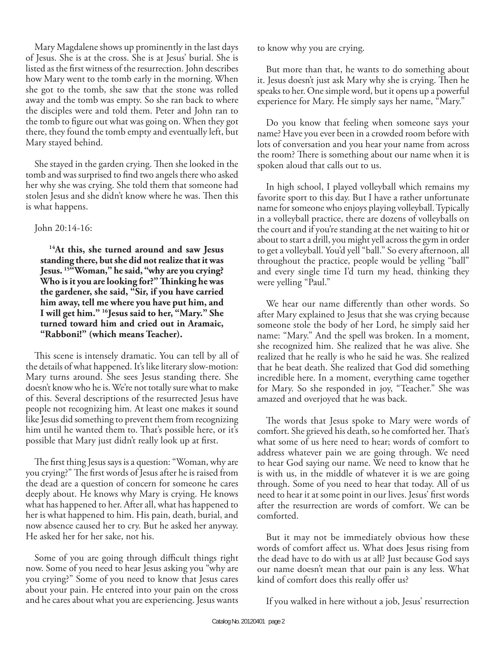Mary Magdalene shows up prominently in the last days of Jesus. She is at the cross. She is at Jesus' burial. She is listed as the first witness of the resurrection. John describes how Mary went to the tomb early in the morning. When she got to the tomb, she saw that the stone was rolled away and the tomb was empty. So she ran back to where the disciples were and told them. Peter and John ran to the tomb to figure out what was going on. When they got there, they found the tomb empty and eventually left, but Mary stayed behind.

She stayed in the garden crying. Then she looked in the tomb and was surprised to find two angels there who asked her why she was crying. She told them that someone had stolen Jesus and she didn't know where he was. Then this is what happens.

#### John 20:14-16:

**14At this, she turned around and saw Jesus standing there, but she did not realize that it was Jesus. 15"Woman," he said, "why are you crying? Who is it you are looking for?" Th inking he was the gardener, she said, "Sir, if you have carried him away, tell me where you have put him, and I will get him." 16Jesus said to her, "Mary." She turned toward him and cried out in Aramaic, "Rabboni!" (which means Teacher).**

This scene is intensely dramatic. You can tell by all of the details of what happened. It's like literary slow-motion: Mary turns around. She sees Jesus standing there. She doesn't know who he is. We're not totally sure what to make of this. Several descriptions of the resurrected Jesus have people not recognizing him. At least one makes it sound like Jesus did something to prevent them from recognizing him until he wanted them to. That's possible here, or it's possible that Mary just didn't really look up at first.

The first thing Jesus says is a question: "Woman, why are you crying?" The first words of Jesus after he is raised from the dead are a question of concern for someone he cares deeply about. He knows why Mary is crying. He knows what has happened to her. After all, what has happened to her is what happened to him. His pain, death, burial, and now absence caused her to cry. But he asked her anyway. He asked her for her sake, not his.

Some of you are going through difficult things right now. Some of you need to hear Jesus asking you "why are you crying?" Some of you need to know that Jesus cares about your pain. He entered into your pain on the cross and he cares about what you are experiencing. Jesus wants

to know why you are crying.

But more than that, he wants to do something about it. Jesus doesn't just ask Mary why she is crying. Then he speaks to her. One simple word, but it opens up a powerful experience for Mary. He simply says her name, "Mary."

Do you know that feeling when someone says your name? Have you ever been in a crowded room before with lots of conversation and you hear your name from across the room? There is something about our name when it is spoken aloud that calls out to us.

In high school, I played volleyball which remains my favorite sport to this day. But I have a rather unfortunate name for someone who enjoys playing volleyball. Typically in a volleyball practice, there are dozens of volleyballs on the court and if you're standing at the net waiting to hit or about to start a drill, you might yell across the gym in order to get a volleyball. You'd yell "ball." So every afternoon, all throughout the practice, people would be yelling "ball" and every single time I'd turn my head, thinking they were yelling "Paul."

We hear our name differently than other words. So after Mary explained to Jesus that she was crying because someone stole the body of her Lord, he simply said her name: "Mary." And the spell was broken. In a moment, she recognized him. She realized that he was alive. She realized that he really is who he said he was. She realized that he beat death. She realized that God did something incredible here. In a moment, everything came together for Mary. So she responded in joy, "Teacher." She was amazed and overjoyed that he was back.

The words that Jesus spoke to Mary were words of comfort. She grieved his death, so he comforted her. That's what some of us here need to hear; words of comfort to address whatever pain we are going through. We need to hear God saying our name. We need to know that he is with us, in the middle of whatever it is we are going through. Some of you need to hear that today. All of us need to hear it at some point in our lives. Jesus' first words after the resurrection are words of comfort. We can be comforted.

But it may not be immediately obvious how these words of comfort affect us. What does Jesus rising from the dead have to do with us at all? Just because God says our name doesn't mean that our pain is any less. What kind of comfort does this really offer us?

If you walked in here without a job, Jesus' resurrection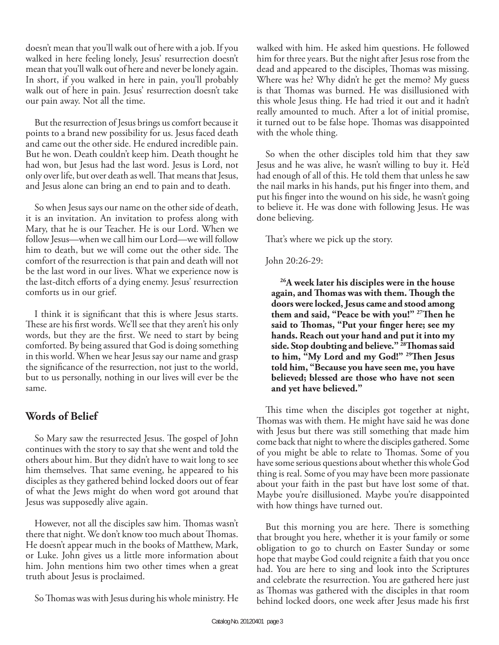doesn't mean that you'll walk out of here with a job. If you walked in here feeling lonely, Jesus' resurrection doesn't mean that you'll walk out of here and never be lonely again. In short, if you walked in here in pain, you'll probably walk out of here in pain. Jesus' resurrection doesn't take our pain away. Not all the time.

But the resurrection of Jesus brings us comfort because it points to a brand new possibility for us. Jesus faced death and came out the other side. He endured incredible pain. But he won. Death couldn't keep him. Death thought he had won, but Jesus had the last word. Jesus is Lord, not only over life, but over death as well. That means that Jesus, and Jesus alone can bring an end to pain and to death.

So when Jesus says our name on the other side of death, it is an invitation. An invitation to profess along with Mary, that he is our Teacher. He is our Lord. When we follow Jesus—when we call him our Lord—we will follow him to death, but we will come out the other side. The comfort of the resurrection is that pain and death will not be the last word in our lives. What we experience now is the last-ditch efforts of a dying enemy. Jesus' resurrection comforts us in our grief.

I think it is significant that this is where Jesus starts. These are his first words. We'll see that they aren't his only words, but they are the first. We need to start by being comforted. By being assured that God is doing something in this world. When we hear Jesus say our name and grasp the significance of the resurrection, not just to the world, but to us personally, nothing in our lives will ever be the same.

## **Words of Belief**

So Mary saw the resurrected Jesus. The gospel of John continues with the story to say that she went and told the others about him. But they didn't have to wait long to see him themselves. That same evening, he appeared to his disciples as they gathered behind locked doors out of fear of what the Jews might do when word got around that Jesus was supposedly alive again.

However, not all the disciples saw him. Thomas wasn't there that night. We don't know too much about Thomas. He doesn't appear much in the books of Matthew, Mark, or Luke. John gives us a little more information about him. John mentions him two other times when a great truth about Jesus is proclaimed.

So Thomas was with Jesus during his whole ministry. He

walked with him. He asked him questions. He followed him for three years. But the night after Jesus rose from the dead and appeared to the disciples, Thomas was missing. Where was he? Why didn't he get the memo? My guess is that Thomas was burned. He was disillusioned with this whole Jesus thing. He had tried it out and it hadn't really amounted to much. After a lot of initial promise, it turned out to be false hope. Thomas was disappointed with the whole thing.

So when the other disciples told him that they saw Jesus and he was alive, he wasn't willing to buy it. He'd had enough of all of this. He told them that unless he saw the nail marks in his hands, put his finger into them, and put his finger into the wound on his side, he wasn't going to believe it. He was done with following Jesus. He was done believing.

That's where we pick up the story.

John 20:26-29:

**26A week later his disciples were in the house**  again, and Thomas was with them. Though the **doors were locked, Jesus came and stood among**  them and said, "Peace be with you!" <sup>27</sup>Then he said to Thomas, "Put your finger here; see my **hands. Reach out your hand and put it into my**  side. Stop doubting and believe."<sup>28</sup>Thomas said to him, "My Lord and my God!" <sup>29</sup>Then Jesus **told him, "Because you have seen me, you have believed; blessed are those who have not seen and yet have believed."**

This time when the disciples got together at night, Thomas was with them. He might have said he was done with Jesus but there was still something that made him come back that night to where the disciples gathered. Some of you might be able to relate to Thomas. Some of you have some serious questions about whether this whole God thing is real. Some of you may have been more passionate about your faith in the past but have lost some of that. Maybe you're disillusioned. Maybe you're disappointed with how things have turned out.

But this morning you are here. There is something that brought you here, whether it is your family or some obligation to go to church on Easter Sunday or some hope that maybe God could reignite a faith that you once had. You are here to sing and look into the Scriptures and celebrate the resurrection. You are gathered here just as Thomas was gathered with the disciples in that room behind locked doors, one week after Jesus made his first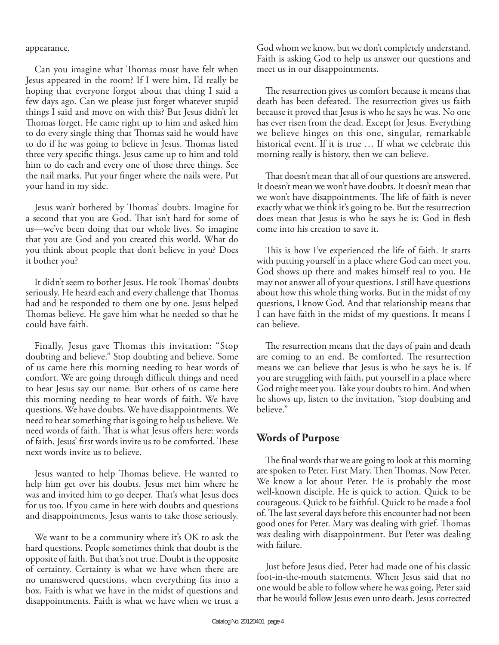appearance.

Can you imagine what Thomas must have felt when Jesus appeared in the room? If I were him, I'd really be hoping that everyone forgot about that thing I said a few days ago. Can we please just forget whatever stupid things I said and move on with this? But Jesus didn't let Thomas forget. He came right up to him and asked him to do every single thing that Thomas said he would have to do if he was going to believe in Jesus. Thomas listed three very specific things. Jesus came up to him and told him to do each and every one of those three things. See the nail marks. Put your finger where the nails were. Put your hand in my side.

Jesus wan't bothered by Thomas' doubts. Imagine for a second that you are God. That isn't hard for some of us—we've been doing that our whole lives. So imagine that you are God and you created this world. What do you think about people that don't believe in you? Does it bother you?

It didn't seem to bother Jesus. He took Thomas' doubts seriously. He heard each and every challenge that Thomas had and he responded to them one by one. Jesus helped Thomas believe. He gave him what he needed so that he could have faith.

Finally, Jesus gave Thomas this invitation: "Stop doubting and believe." Stop doubting and believe. Some of us came here this morning needing to hear words of comfort. We are going through difficult things and need to hear Jesus say our name. But others of us came here this morning needing to hear words of faith. We have questions. We have doubts. We have disappointments. We need to hear something that is going to help us believe. We need words of faith. That is what Jesus offers here: words of faith. Jesus' first words invite us to be comforted. These next words invite us to believe.

Jesus wanted to help Thomas believe. He wanted to help him get over his doubts. Jesus met him where he was and invited him to go deeper. That's what Jesus does for us too. If you came in here with doubts and questions and disappointments, Jesus wants to take those seriously.

We want to be a community where it's OK to ask the hard questions. People sometimes think that doubt is the opposite of faith. But that's not true. Doubt is the opposite of certainty. Certainty is what we have when there are no unanswered questions, when everything fits into a box. Faith is what we have in the midst of questions and disappointments. Faith is what we have when we trust a

God whom we know, but we don't completely understand. Faith is asking God to help us answer our questions and meet us in our disappointments.

The resurrection gives us comfort because it means that death has been defeated. The resurrection gives us faith because it proved that Jesus is who he says he was. No one has ever risen from the dead. Except for Jesus. Everything we believe hinges on this one, singular, remarkable historical event. If it is true … If what we celebrate this morning really is history, then we can believe.

That doesn't mean that all of our questions are answered. It doesn't mean we won't have doubts. It doesn't mean that we won't have disappointments. The life of faith is never exactly what we think it's going to be. But the resurrection does mean that Jesus is who he says he is: God in flesh come into his creation to save it.

This is how I've experienced the life of faith. It starts with putting yourself in a place where God can meet you. God shows up there and makes himself real to you. He may not answer all of your questions. I still have questions about how this whole thing works. But in the midst of my questions, I know God. And that relationship means that I can have faith in the midst of my questions. It means I can believe.

The resurrection means that the days of pain and death are coming to an end. Be comforted. The resurrection means we can believe that Jesus is who he says he is. If you are struggling with faith, put yourself in a place where God might meet you. Take your doubts to him. And when he shows up, listen to the invitation, "stop doubting and believe."

## **Words of Purpose**

The final words that we are going to look at this morning are spoken to Peter. First Mary. Then Thomas. Now Peter. We know a lot about Peter. He is probably the most well-known disciple. He is quick to action. Quick to be courageous. Quick to be faithful. Quick to be made a fool of. The last several days before this encounter had not been good ones for Peter. Mary was dealing with grief. Thomas was dealing with disappointment. But Peter was dealing with failure.

Just before Jesus died, Peter had made one of his classic foot-in-the-mouth statements. When Jesus said that no one would be able to follow where he was going, Peter said that he would follow Jesus even unto death. Jesus corrected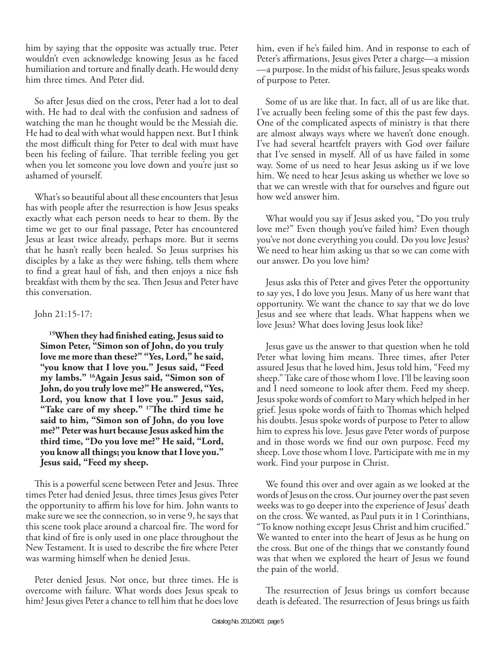him by saying that the opposite was actually true. Peter wouldn't even acknowledge knowing Jesus as he faced humiliation and torture and finally death. He would deny him three times. And Peter did.

So after Jesus died on the cross, Peter had a lot to deal with. He had to deal with the confusion and sadness of watching the man he thought would be the Messiah die. He had to deal with what would happen next. But I think the most difficult thing for Peter to deal with must have been his feeling of failure. That terrible feeling you get when you let someone you love down and you're just so ashamed of yourself.

What's so beautiful about all these encounters that Jesus has with people after the resurrection is how Jesus speaks exactly what each person needs to hear to them. By the time we get to our final passage, Peter has encountered Jesus at least twice already, perhaps more. But it seems that he hasn't really been healed. So Jesus surprises his disciples by a lake as they were fishing, tells them where to find a great haul of fish, and then enjoys a nice fish breakfast with them by the sea. Then Jesus and Peter have this conversation.

#### John 21:15-17:

<sup>15</sup>When they had finished eating, Jesus said to **Simon Peter, "Simon son of John, do you truly love me more than these?" "Yes, Lord," he said, "you know that I love you." Jesus said, "Feed my lambs." 16Again Jesus said, "Simon son of John, do you truly love me?" He answered, "Yes, Lord, you know that I love you." Jesus said,**  "Take care of my sheep." <sup>17</sup>The third time he **said to him, "Simon son of John, do you love me?" Peter was hurt because Jesus asked him the third time, "Do you love me?" He said, "Lord, you know all things; you know that I love you." Jesus said, "Feed my sheep.**

This is a powerful scene between Peter and Jesus. Three times Peter had denied Jesus, three times Jesus gives Peter the opportunity to affirm his love for him. John wants to make sure we see the connection, so in verse 9, he says that this scene took place around a charcoal fire. The word for that kind of fire is only used in one place throughout the New Testament. It is used to describe the fire where Peter was warming himself when he denied Jesus.

Peter denied Jesus. Not once, but three times. He is overcome with failure. What words does Jesus speak to him? Jesus gives Peter a chance to tell him that he does love him, even if he's failed him. And in response to each of Peter's affirmations, Jesus gives Peter a charge—a mission —a purpose. In the midst of his failure, Jesus speaks words of purpose to Peter.

Some of us are like that. In fact, all of us are like that. I've actually been feeling some of this the past few days. One of the complicated aspects of ministry is that there are almost always ways where we haven't done enough. I've had several heartfelt prayers with God over failure that I've sensed in myself. All of us have failed in some way. Some of us need to hear Jesus asking us if we love him. We need to hear Jesus asking us whether we love so that we can wrestle with that for ourselves and figure out how we'd answer him.

What would you say if Jesus asked you, "Do you truly love me?" Even though you've failed him? Even though you've not done everything you could. Do you love Jesus? We need to hear him asking us that so we can come with our answer. Do you love him?

Jesus asks this of Peter and gives Peter the opportunity to say yes, I do love you Jesus. Many of us here want that opportunity. We want the chance to say that we do love Jesus and see where that leads. What happens when we love Jesus? What does loving Jesus look like?

Jesus gave us the answer to that question when he told Peter what loving him means. Three times, after Peter assured Jesus that he loved him, Jesus told him, "Feed my sheep." Take care of those whom I love. I'll be leaving soon and I need someone to look after them. Feed my sheep. Jesus spoke words of comfort to Mary which helped in her grief. Jesus spoke words of faith to Thomas which helped his doubts. Jesus spoke words of purpose to Peter to allow him to express his love. Jesus gave Peter words of purpose and in those words we find our own purpose. Feed my sheep. Love those whom I love. Participate with me in my work. Find your purpose in Christ.

We found this over and over again as we looked at the words of Jesus on the cross. Our journey over the past seven weeks was to go deeper into the experience of Jesus' death on the cross. We wanted, as Paul puts it in 1 Corinthians, "To know nothing except Jesus Christ and him crucified." We wanted to enter into the heart of Jesus as he hung on the cross. But one of the things that we constantly found was that when we explored the heart of Jesus we found the pain of the world.

The resurrection of Jesus brings us comfort because death is defeated. The resurrection of Jesus brings us faith